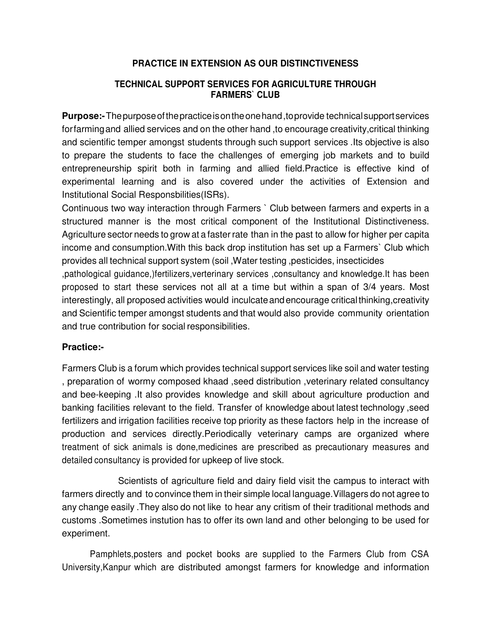## **PRACTICE IN EXTENSION AS OUR DISTINCTIVENESS**

## **TECHNICAL SUPPORT SERVICES FOR AGRICULTURE THROUGH FARMERS` CLUB**

**Purpose:-** The purpose of the practice is on the one hand ,to provide technical support services for farming and allied services and on the other hand ,to encourage creativity,critical thinking and scientific temper amongst students through such support services .Its objective is also to prepare the students to face the challenges of emerging job markets and to build entrepreneurship spirit both in farming and allied field.Practice is effective kind of experimental learning and is also covered under the activities of Extension and Institutional Social Responsbilities(ISRs).

Continuous two way interaction through Farmers ` Club between farmers and experts in a structured manner is the most critical component of the Institutional Distinctiveness. Agriculture sector needs to grow at a faster rate than in the past to allow for higher per capita income and consumption.With this back drop institution has set up a Farmers` Club which provides all technical support system (soil ,Water testing ,pesticides, insecticides

,pathological guidance,)fertilizers,verterinary services ,consultancy and knowledge.It has been proposed to start these services not all at a time but within a span of 3/4 years. Most interestingly, all proposed activities would inculcate and encourage critical thinking,creativity and Scientific temper amongst students and that would also provide community orientation and true contribution for social responsibilities.

## **Practice:-**

Farmers Club is a forum which provides technical support services like soil and water testing , preparation of wormy composed khaad ,seed distribution ,veterinary related consultancy and bee-keeping .It also provides knowledge and skill about agriculture production and banking facilities relevant to the field. Transfer of knowledge about latest technology ,seed fertilizers and irrigation facilities receive top priority as these factors help in the increase of production and services directly.Periodically veterinary camps are organized where treatment of sick animals is done,medicines are prescribed as precautionary measures and detailed consultancy is provided for upkeep of live stock.

Scientists of agriculture field and dairy field visit the campus to interact with farmers directly and to convince them in their simple local language.Villagers do not agree to any change easily .They also do not like to hear any critism of their traditional methods and customs .Sometimes instution has to offer its own land and other belonging to be used for experiment.

Pamphlets,posters and pocket books are supplied to the Farmers Club from CSA University,Kanpur which are distributed amongst farmers for knowledge and information